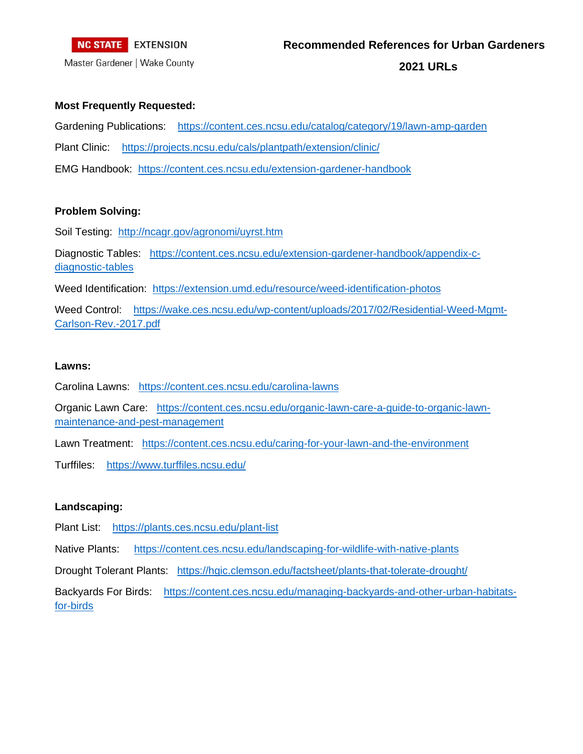

Master Gardener | Wake County

**2021 URLs**

#### **Most Frequently Requested:**

Gardening Publications: <https://content.ces.ncsu.edu/catalog/category/19/lawn-amp-garden> Plant Clinic: <https://projects.ncsu.edu/cals/plantpath/extension/clinic/> EMG Handbook: <https://content.ces.ncsu.edu/extension-gardener-handbook>

### **Problem Solving:**

Soil Testing: <http://ncagr.gov/agronomi/uyrst.htm>

Diagnostic Tables: [https://content.ces.ncsu.edu/extension-gardener-handbook/appendix-c](https://content.ces.ncsu.edu/extension-gardener-handbook/appendix-c-diagnostic-tables)[diagnostic-tables](https://content.ces.ncsu.edu/extension-gardener-handbook/appendix-c-diagnostic-tables)

Weed Identification: <https://extension.umd.edu/resource/weed-identification-photos>

Weed Control: [https://wake.ces.ncsu.edu/wp-content/uploads/2017/02/Residential-Weed-Mgmt-](https://wake.ces.ncsu.edu/wp-content/uploads/2017/02/Residential-Weed-Mgmt-Carlson-Rev.-2017.pdf)[Carlson-Rev.-2017.pdf](https://wake.ces.ncsu.edu/wp-content/uploads/2017/02/Residential-Weed-Mgmt-Carlson-Rev.-2017.pdf)

#### **Lawns:**

Carolina Lawns: <https://content.ces.ncsu.edu/carolina-lawns>

Organic Lawn Care: [https://content.ces.ncsu.edu/organic-lawn-care-a-guide-to-organic-lawn](https://content.ces.ncsu.edu/organic-lawn-care-a-guide-to-organic-lawn-maintenance-and-pest-management)[maintenance-and-pest-management](https://content.ces.ncsu.edu/organic-lawn-care-a-guide-to-organic-lawn-maintenance-and-pest-management)

Lawn Treatment: <https://content.ces.ncsu.edu/caring-for-your-lawn-and-the-environment>

Turffiles: <https://www.turffiles.ncsu.edu/>

# **Landscaping:**

Plant List: <https://plants.ces.ncsu.edu/plant-list>

Native Plants: <https://content.ces.ncsu.edu/landscaping-for-wildlife-with-native-plants>

Drought Tolerant Plants: <https://hgic.clemson.edu/factsheet/plants-that-tolerate-drought/>

Backyards For Birds: [https://content.ces.ncsu.edu/managing-backyards-and-other-urban-habitats](https://content.ces.ncsu.edu/managing-backyards-and-other-urban-habitats-for-birds)[for-birds](https://content.ces.ncsu.edu/managing-backyards-and-other-urban-habitats-for-birds)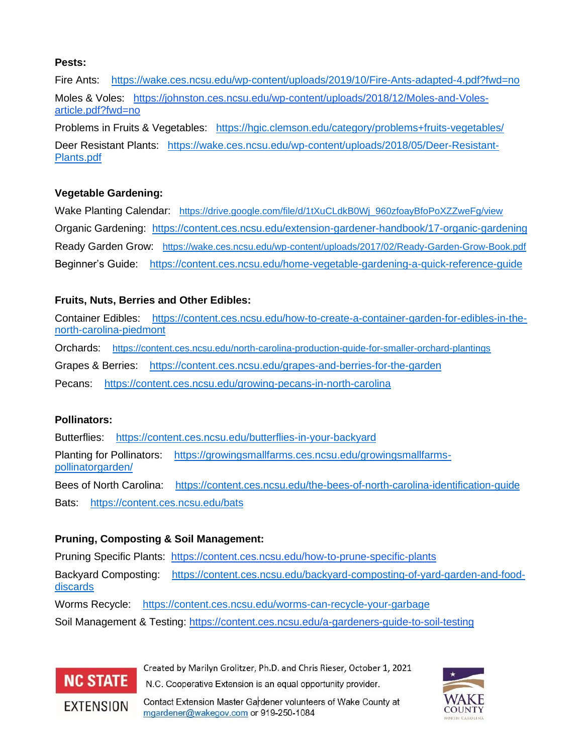### **Pests:**

Fire Ants: <https://wake.ces.ncsu.edu/wp-content/uploads/2019/10/Fire-Ants-adapted-4.pdf?fwd=no> Moles & Voles: [https://johnston.ces.ncsu.edu/wp-content/uploads/2018/12/Moles-and-Voles](https://johnston.ces.ncsu.edu/wp-content/uploads/2018/12/Moles-and-Voles-article.pdf?fwd=no)[article.pdf?fwd=no](https://johnston.ces.ncsu.edu/wp-content/uploads/2018/12/Moles-and-Voles-article.pdf?fwd=no)

Problems in Fruits & Vegetables: <https://hgic.clemson.edu/category/problems+fruits-vegetables/> Deer Resistant Plants: [https://wake.ces.ncsu.edu/wp-content/uploads/2018/05/Deer-Resistant-](https://wake.ces.ncsu.edu/wp-content/uploads/2018/05/Deer-Resistant-Plants.pdf)[Plants.pdf](https://wake.ces.ncsu.edu/wp-content/uploads/2018/05/Deer-Resistant-Plants.pdf)

# **Vegetable Gardening:**

Wake Planting Calendar: [https://drive.google.com/file/d/1tXuCLdkB0Wj\\_960zfoayBfoPoXZZweFg/view](https://drive.google.com/file/d/1tXuCLdkB0Wj_960zfoayBfoPoXZZweFg/view) Organic Gardening: <https://content.ces.ncsu.edu/extension-gardener-handbook/17-organic-gardening> Ready Garden Grow: <https://wake.ces.ncsu.edu/wp-content/uploads/2017/02/Ready-Garden-Grow-Book.pdf> Beginner's Guide: <https://content.ces.ncsu.edu/home-vegetable-gardening-a-quick-reference-guide>

# **Fruits, Nuts, Berries and Other Edibles:**

Container Edibles: [https://content.ces.ncsu.edu/how-to-create-a-container-garden-for-edibles-in-the](https://content.ces.ncsu.edu/how-to-create-a-container-garden-for-edibles-in-the-north-carolina-piedmont)[north-carolina-piedmont](https://content.ces.ncsu.edu/how-to-create-a-container-garden-for-edibles-in-the-north-carolina-piedmont)

Orchards: <https://content.ces.ncsu.edu/north-carolina-production-guide-for-smaller-orchard-plantings>

Grapes & Berries: <https://content.ces.ncsu.edu/grapes-and-berries-for-the-garden>

Pecans: <https://content.ces.ncsu.edu/growing-pecans-in-north-carolina>

# **Pollinators:**

Butterflies: <https://content.ces.ncsu.edu/butterflies-in-your-backyard> Planting for Pollinators: [https://growingsmallfarms.ces.ncsu.edu/growingsmallfarms](https://growingsmallfarms.ces.ncsu.edu/growingsmallfarms-pollinatorgarden/)[pollinatorgarden/](https://growingsmallfarms.ces.ncsu.edu/growingsmallfarms-pollinatorgarden/) Bees of North Carolina: <https://content.ces.ncsu.edu/the-bees-of-north-carolina-identification-guide> Bats: <https://content.ces.ncsu.edu/bats>

# **Pruning, Composting & Soil Management:**

Pruning Specific Plants: <https://content.ces.ncsu.edu/how-to-prune-specific-plants>

Backyard Composting: [https://content.ces.ncsu.edu/backyard-composting-of-yard-garden-and-food](https://content.ces.ncsu.edu/backyard-composting-of-yard-garden-and-food-discards)[discards](https://content.ces.ncsu.edu/backyard-composting-of-yard-garden-and-food-discards)

Worms Recycle: <https://content.ces.ncsu.edu/worms-can-recycle-your-garbage>

Soil Management & Testing:<https://content.ces.ncsu.edu/a-gardeners-guide-to-soil-testing>



Created by Marilyn Grolitzer, Ph.D. and Chris Rieser, October 1, 2021 N.C. Cooperative Extension is an equal opportunity provider.

Contact Extension Master Gardener volunteers of Wake County at mgardener@wakegov.com or 919-250-1084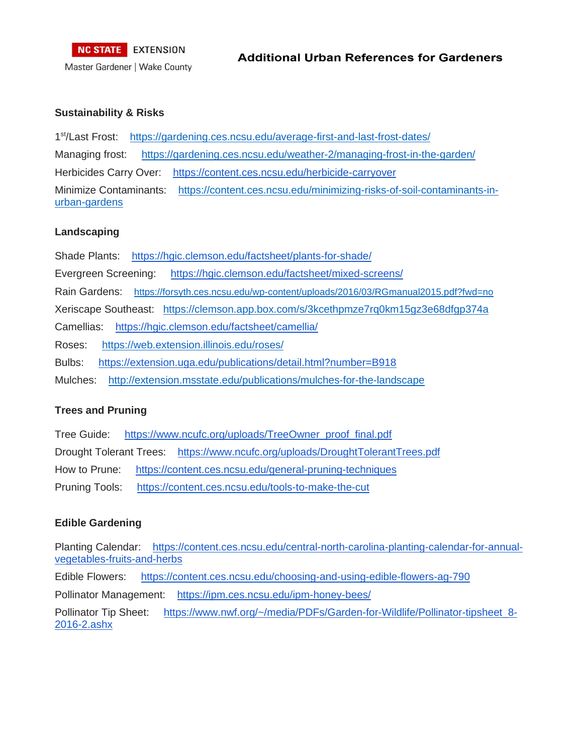### **Sustainability & Risks**

1<sup>st</sup>/Last Frost: <https://gardening.ces.ncsu.edu/average-first-and-last-frost-dates/> Managing frost: <https://gardening.ces.ncsu.edu/weather-2/managing-frost-in-the-garden/> Herbicides Carry Over: <https://content.ces.ncsu.edu/herbicide-carryover> Minimize Contaminants: [https://content.ces.ncsu.edu/minimizing-risks-of-soil-contaminants-in](https://content.ces.ncsu.edu/minimizing-risks-of-soil-contaminants-in-urban-gardens)[urban-gardens](https://content.ces.ncsu.edu/minimizing-risks-of-soil-contaminants-in-urban-gardens)

### **Landscaping**

Shade Plants: <https://hgic.clemson.edu/factsheet/plants-for-shade/> Evergreen Screening: <https://hgic.clemson.edu/factsheet/mixed-screens/> Rain Gardens: <https://forsyth.ces.ncsu.edu/wp-content/uploads/2016/03/RGmanual2015.pdf?fwd=no> Xeriscape Southeast: <https://clemson.app.box.com/s/3kcethpmze7rq0km15gz3e68dfgp374a> Camellias: <https://hgic.clemson.edu/factsheet/camellia/> Roses: <https://web.extension.illinois.edu/roses/> Bulbs: <https://extension.uga.edu/publications/detail.html?number=B918> Mulches: <http://extension.msstate.edu/publications/mulches-for-the-landscape>

# **Trees and Pruning**

Tree Guide: [https://www.ncufc.org/uploads/TreeOwner\\_proof\\_final.pdf](https://www.ncufc.org/uploads/TreeOwner_proof_final.pdf) Drought Tolerant Trees: <https://www.ncufc.org/uploads/DroughtTolerantTrees.pdf> How to Prune: <https://content.ces.ncsu.edu/general-pruning-techniques> Pruning Tools: <https://content.ces.ncsu.edu/tools-to-make-the-cut>

# **Edible Gardening**

Planting Calendar: [https://content.ces.ncsu.edu/central-north-carolina-planting-calendar-for-annual](https://content.ces.ncsu.edu/central-north-carolina-planting-calendar-for-annual-vegetables-fruits-and-herbs)[vegetables-fruits-and-herbs](https://content.ces.ncsu.edu/central-north-carolina-planting-calendar-for-annual-vegetables-fruits-and-herbs)

Edible Flowers: <https://content.ces.ncsu.edu/choosing-and-using-edible-flowers-ag-790>

Pollinator Management: <https://ipm.ces.ncsu.edu/ipm-honey-bees/>

Pollinator Tip Sheet: [https://www.nwf.org/~/media/PDFs/Garden-for-Wildlife/Pollinator-tipsheet\\_8-](https://www.nwf.org/~/media/PDFs/Garden-for-Wildlife/Pollinator-tipsheet_8-2016-2.ashx) [2016-2.ashx](https://www.nwf.org/~/media/PDFs/Garden-for-Wildlife/Pollinator-tipsheet_8-2016-2.ashx)